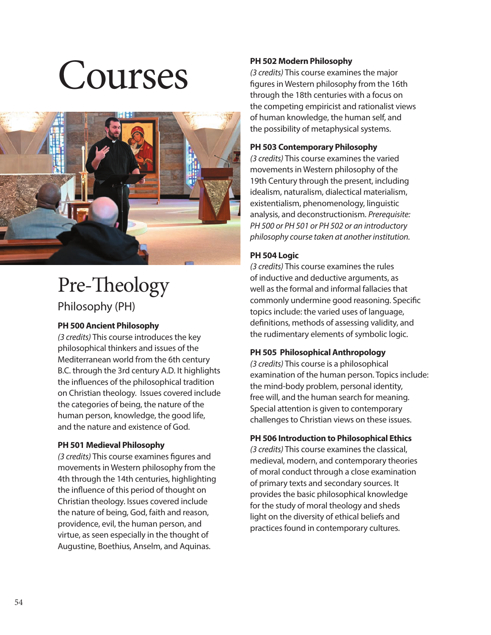# Courses



# Pre-Theology Philosophy (PH)

# **PH 500 Ancient Philosophy**

*(3 credits)* This course introduces the key philosophical thinkers and issues of the Mediterranean world from the 6th century B.C. through the 3rd century A.D. It highlights the influences of the philosophical tradition on Christian theology. Issues covered include the categories of being, the nature of the human person, knowledge, the good life, and the nature and existence of God.

# **PH 501 Medieval Philosophy**

(3 credits) This course examines figures and movements in Western philosophy from the 4th through the 14th centuries, highlighting the influence of this period of thought on Christian theology. Issues covered include the nature of being, God, faith and reason, providence, evil, the human person, and virtue, as seen especially in the thought of Augustine, Boethius, Anselm, and Aquinas.

# **PH 502 Modern Philosophy**

*(3 credits)* This course examines the major figures in Western philosophy from the 16th through the 18th centuries with a focus on the competing empiricist and rationalist views of human knowledge, the human self, and the possibility of metaphysical systems.

# **PH 503 Contemporary Philosophy**

*(3 credits)* This course examines the varied movements in Western philosophy of the 19th Century through the present, including idealism, naturalism, dialectical materialism, existentialism, phenomenology, linguistic analysis, and deconstructionism. *Prerequisite: PH 500 or PH 501 or PH 502 or an introductory philosophy course taken at another institution.*

# **PH 504 Logic**

*(3 credits)* This course examines the rules of inductive and deductive arguments, as well as the formal and informal fallacies that commonly undermine good reasoning. Specific topics include: the varied uses of language, definitions, methods of assessing validity, and the rudimentary elements of symbolic logic.

# **PH 505 Philosophical Anthropology**

*(3 credits)* This course is a philosophical examination of the human person. Topics include: the mind-body problem, personal identity, free will, and the human search for meaning. Special attention is given to contemporary challenges to Christian views on these issues.

# **PH 506 Introduction to Philosophical Ethics**

*(3 credits)* This course examines the classical, medieval, modern, and contemporary theories of moral conduct through a close examination of primary texts and secondary sources. It provides the basic philosophical knowledge for the study of moral theology and sheds light on the diversity of ethical beliefs and practices found in contemporary cultures.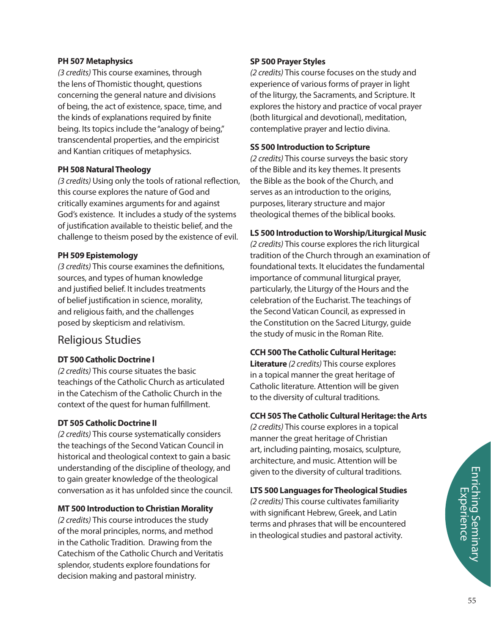# **PH 507 Metaphysics**

*(3 credits)* This course examines, through the lens of Thomistic thought, questions concerning the general nature and divisions of being, the act of existence, space, time, and the kinds of explanations required by finite being. Its topics include the "analogy of being," transcendental properties, and the empiricist and Kantian critiques of metaphysics.

# **PH 508 Natural Theology**

(3 credits) Using only the tools of rational reflection, this course explores the nature of God and critically examines arguments for and against God's existence. It includes a study of the systems of justification available to theistic belief, and the challenge to theism posed by the existence of evil.

# **PH 509 Epistemology**

*(3 credits)* This course examines the definitions, sources, and types of human knowledge and justified belief. It includes treatments of belief justification in science, morality, and religious faith, and the challenges posed by skepticism and relativism.

# Religious Studies

# **DT 500 Catholic Doctrine I**

*(2 credits)* This course situates the basic teachings of the Catholic Church as articulated in the Catechism of the Catholic Church in the context of the quest for human fulfillment.

# **DT 505 Catholic Doctrine II**

*(2 credits)* This course systematically considers the teachings of the Second Vatican Council in historical and theological context to gain a basic understanding of the discipline of theology, and to gain greater knowledge of the theological conversation as it has unfolded since the council.

## **MT 500 Introduction to Christian Morality**

*(2 credits)* This course introduces the study of the moral principles, norms, and method in the Catholic Tradition. Drawing from the Catechism of the Catholic Church and Veritatis splendor, students explore foundations for decision making and pastoral ministry.

# **SP 500 Prayer Styles**

*(2 credits)* This course focuses on the study and experience of various forms of prayer in light of the liturgy, the Sacraments, and Scripture. It explores the history and practice of vocal prayer (both liturgical and devotional), meditation, contemplative prayer and lectio divina.

# **SS 500 Introduction to Scripture**

*(2 credits)* This course surveys the basic story of the Bible and its key themes. It presents the Bible as the book of the Church, and serves as an introduction to the origins, purposes, literary structure and major theological themes of the biblical books.

# **LS 500 Introduction to Worship/Liturgical Music**

*(2 credits)* This course explores the rich liturgical tradition of the Church through an examination of foundational texts. It elucidates the fundamental importance of communal liturgical prayer, particularly, the Liturgy of the Hours and the celebration of the Eucharist. The teachings of the Second Vatican Council, as expressed in the Constitution on the Sacred Liturgy, guide the study of music in the Roman Rite.

# **CCH 500 The Catholic Cultural Heritage:**

**Literature** *(2 credits)* This course explores in a topical manner the great heritage of Catholic literature. Attention will be given to the diversity of cultural traditions.

# **CCH 505 The Catholic Cultural Heritage: the Arts**

*(2 credits)* This course explores in a topical manner the great heritage of Christian art, including painting, mosaics, sculpture, architecture, and music. Attention will be given to the diversity of cultural traditions.

# **LTS 500 Languages for Theological Studies**

*(2 credits)* This course cultivates familiarity with significant Hebrew, Greek, and Latin terms and phrases that will be encountered in theological studies and pastoral activity.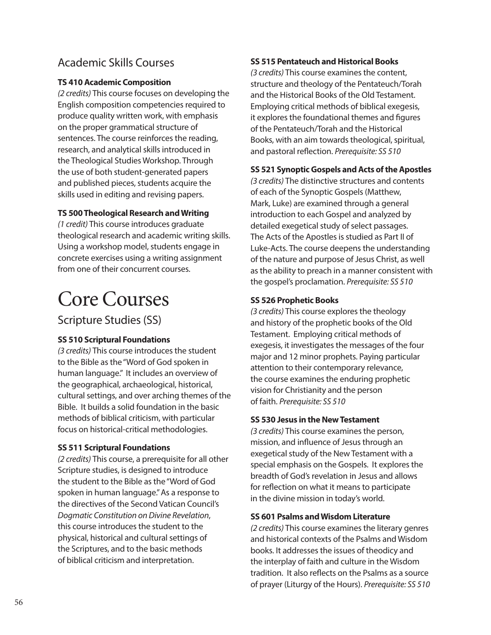# Academic Skills Courses

# **TS 410 Academic Composition**

*(2 credits)* This course focuses on developing the English composition competencies required to produce quality written work, with emphasis on the proper grammatical structure of sentences. The course reinforces the reading, research, and analytical skills introduced in the Theological Studies Workshop. Through the use of both student-generated papers and published pieces, students acquire the skills used in editing and revising papers.

# **TS 500 Theological Research and Writing**

*(1 credit)* This course introduces graduate theological research and academic writing skills. Using a workshop model, students engage in concrete exercises using a writing assignment from one of their concurrent courses.

# Core Courses

Scripture Studies (SS)

# **SS 510 Scriptural Foundations**

*(3 credits)* This course introduces the student to the Bible as the "Word of God spoken in human language." It includes an overview of the geographical, archaeological, historical, cultural settings, and over arching themes of the Bible. It builds a solid foundation in the basic methods of biblical criticism, with particular focus on historical-critical methodologies.

# **SS 511 Scriptural Foundations**

*(2 credits)* This course, a prerequisite for all other Scripture studies, is designed to introduce the student to the Bible as the "Word of God spoken in human language." As a response to the directives of the Second Vatican Council's *Dogmatic Constitution on Divine Revelation*, this course introduces the student to the physical, historical and cultural settings of the Scriptures, and to the basic methods of biblical criticism and interpretation.

# **SS 515 Pentateuch and Historical Books**

*(3 credits)* This course examines the content, structure and theology of the Pentateuch/Torah and the Historical Books of the Old Testament. Employing critical methods of biblical exegesis, it explores the foundational themes and figures of the Pentateuch/Torah and the Historical Books, with an aim towards theological, spiritual, and pastoral reflection. Prerequisite: SS 510

# **SS 521 Synoptic Gospels and Acts of the Apostles**

*(3 credits)* The distinctive structures and contents of each of the Synoptic Gospels (Matthew, Mark, Luke) are examined through a general introduction to each Gospel and analyzed by detailed exegetical study of select passages. The Acts of the Apostles is studied as Part II of Luke-Acts. The course deepens the understanding of the nature and purpose of Jesus Christ, as well as the ability to preach in a manner consistent with the gospel's proclamation. *Prerequisite: SS 510* 

# **SS 526 Prophetic Books**

*(3 credits)* This course explores the theology and history of the prophetic books of the Old Testament. Employing critical methods of exegesis, it investigates the messages of the four major and 12 minor prophets. Paying particular attention to their contemporary relevance, the course examines the enduring prophetic vision for Christianity and the person of faith. *Prerequisite: SS 510*

# **SS 530 Jesus in the New Testament**

*(3 credits)* This course examines the person, mission, and influence of Jesus through an exegetical study of the New Testament with a special emphasis on the Gospels. It explores the breadth of God's revelation in Jesus and allows for reflection on what it means to participate in the divine mission in today's world.

# **SS 601 Psalms and Wisdom Literature**

*(2 credits)* This course examines the literary genres and historical contexts of the Psalms and Wisdom books. It addresses the issues of theodicy and the interplay of faith and culture in the Wisdom tradition. It also reflects on the Psalms as a source of prayer (Liturgy of the Hours). *Prerequisite: SS 510*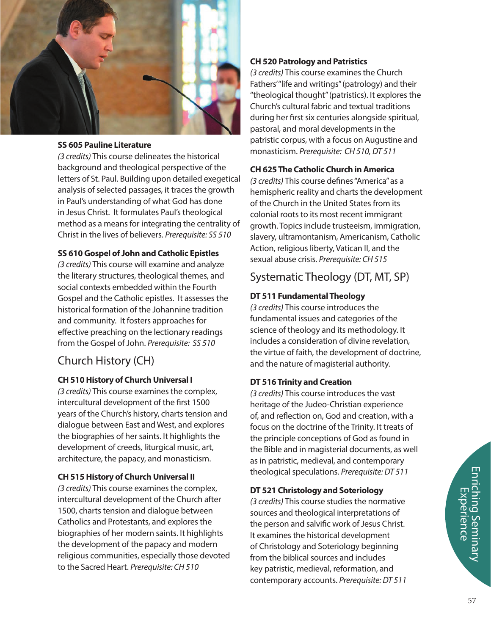

# **SS 605 Pauline Literature**

*(3 credits)* This course delineates the historical background and theological perspective of the letters of St. Paul. Building upon detailed exegetical analysis of selected passages, it traces the growth in Paul's understanding of what God has done in Jesus Christ. It formulates Paul's theological method as a means for integrating the centrality of Christ in the lives of believers. *Prerequisite: SS 510*

# **SS 610 Gospel of John and Catholic Epistles**

*(3 credits)* This course will examine and analyze the literary structures, theological themes, and social contexts embedded within the Fourth Gospel and the Catholic epistles. It assesses the historical formation of the Johannine tradition and community. It fosters approaches for effective preaching on the lectionary readings from the Gospel of John. *Prerequisite: SS 510* 

# Church History (CH)

# **CH 510 History of Church Universal I**

*(3 credits)* This course examines the complex, intercultural development of the first 1500 years of the Church's history, charts tension and dialogue between East and West, and explores the biographies of her saints. It highlights the development of creeds, liturgical music, art, architecture, the papacy, and monasticism.

# **CH 515 History of Church Universal II**

*(3 credits)* This course examines the complex, intercultural development of the Church after 1500, charts tension and dialogue between Catholics and Protestants, and explores the biographies of her modern saints. It highlights the development of the papacy and modern religious communities, especially those devoted to the Sacred Heart. *Prerequisite: CH 510*

# **CH 520 Patrology and Patristics**

*(3 credits)* This course examines the Church Fathers' "life and writings" (patrology) and their "theological thought" (patristics). It explores the Church's cultural fabric and textual traditions during her first six centuries alongside spiritual, pastoral, and moral developments in the patristic corpus, with a focus on Augustine and monasticism. *Prerequisite: CH 510, DT 511*

# **CH 625 The Catholic Church in America**

*(3 credits)* This course defines "America" as a hemispheric reality and charts the development of the Church in the United States from its colonial roots to its most recent immigrant growth. Topics include trusteeism, immigration, slavery, ultramontanism, Americanism, Catholic Action, religious liberty, Vatican II, and the sexual abuse crisis. *Prerequisite: CH 515*

# Systematic Theology (DT, MT, SP)

# **DT 511 Fundamental Theology**

*(3 credits)* This course introduces the fundamental issues and categories of the science of theology and its methodology. It includes a consideration of divine revelation, the virtue of faith, the development of doctrine, and the nature of magisterial authority.

# **DT 516 Trinity and Creation**

*(3 credits)* This course introduces the vast heritage of the Judeo-Christian experience of, and reflection on, God and creation, with a focus on the doctrine of the Trinity. It treats of the principle conceptions of God as found in the Bible and in magisterial documents, as well as in patristic, medieval, and contemporary theological speculations. *Prerequisite: DT 511*

# **DT 521 Christology and Soteriology**

*(3 credits)* This course studies the normative sources and theological interpretations of the person and salvific work of Jesus Christ. It examines the historical development of Christology and Soteriology beginning from the biblical sources and includes key patristic, medieval, reformation, and contemporary accounts. *Prerequisite: DT 511*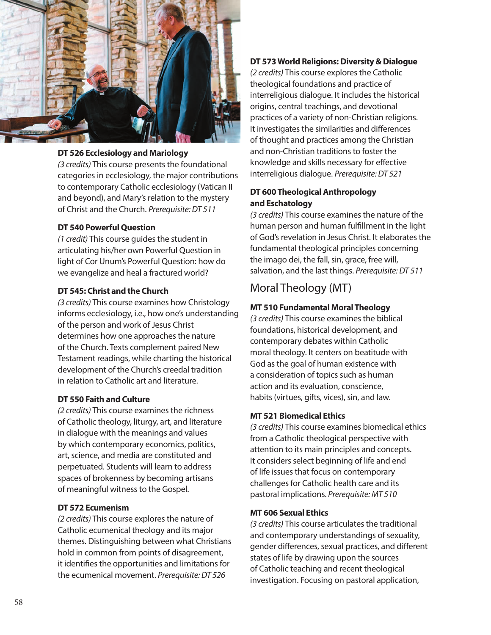

## **DT 526 Ecclesiology and Mariology**

*(3 credits)* This course presents the foundational categories in ecclesiology, the major contributions to contemporary Catholic ecclesiology (Vatican II and beyond), and Mary's relation to the mystery of Christ and the Church. *Prerequisite: DT 511*

#### **DT 540 Powerful Question**

*(1 credit)* This course guides the student in articulating his/her own Powerful Question in light of Cor Unum's Powerful Question: how do we evangelize and heal a fractured world?

### **DT 545: Christ and the Church**

*(3 credits)* This course examines how Christology informs ecclesiology, i.e., how one's understanding of the person and work of Jesus Christ determines how one approaches the nature of the Church. Texts complement paired New Testament readings, while charting the historical development of the Church's creedal tradition in relation to Catholic art and literature.

### **DT 550 Faith and Culture**

*(2 credits)* This course examines the richness of Catholic theology, liturgy, art, and literature in dialogue with the meanings and values by which contemporary economics, politics, art, science, and media are constituted and perpetuated. Students will learn to address spaces of brokenness by becoming artisans of meaningful witness to the Gospel.

# **DT 572 Ecumenism**

*(2 credits)* This course explores the nature of Catholic ecumenical theology and its major themes. Distinguishing between what Christians hold in common from points of disagreement, it identifies the opportunities and limitations for the ecumenical movement. *Prerequisite: DT 526*

# **DT 573 World Religions: Diversity & Dialogue**

*(2 credits)* This course explores the Catholic theological foundations and practice of interreligious dialogue. It includes the historical origins, central teachings, and devotional practices of a variety of non-Christian religions. It investigates the similarities and differences of thought and practices among the Christian and non-Christian traditions to foster the knowledge and skills necessary for effective interreligious dialogue. *Prerequisite: DT 521*

# **DT 600 Theological Anthropology and Eschatology**

*(3 credits)* This course examines the nature of the human person and human fulfillment in the light of God's revelation in Jesus Christ. It elaborates the fundamental theological principles concerning the imago dei, the fall, sin, grace, free will, salvation, and the last things. *Prerequisite: DT 511*

# Moral Theology (MT)

#### **MT 510 Fundamental Moral Theology**

*(3 credits)* This course examines the biblical foundations, historical development, and contemporary debates within Catholic moral theology. It centers on beatitude with God as the goal of human existence with a consideration of topics such as human action and its evaluation, conscience, habits (virtues, gifts, vices), sin, and law.

# **MT 521 Biomedical Ethics**

*(3 credits)* This course examines biomedical ethics from a Catholic theological perspective with attention to its main principles and concepts. It considers select beginning of life and end of life issues that focus on contemporary challenges for Catholic health care and its pastoral implications. *Prerequisite: MT 510*

# **MT 606 Sexual Ethics**

*(3 credits)* This course articulates the traditional and contemporary understandings of sexuality, gender differences, sexual practices, and different states of life by drawing upon the sources of Catholic teaching and recent theological investigation. Focusing on pastoral application,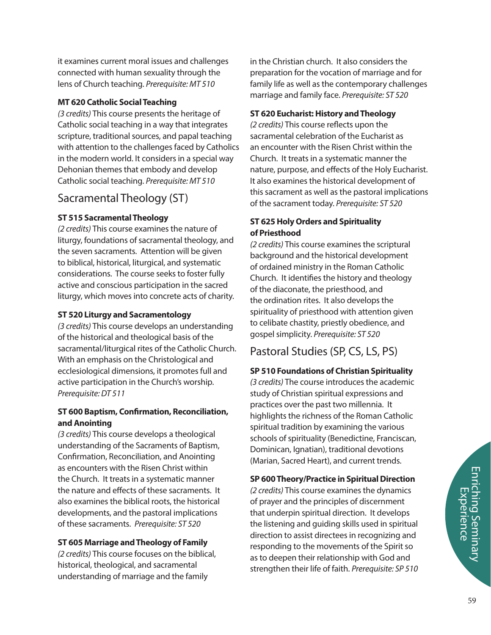it examines current moral issues and challenges connected with human sexuality through the lens of Church teaching. *Prerequisite: MT 510*

# **MT 620 Catholic Social Teaching**

*(3 credits)* This course presents the heritage of Catholic social teaching in a way that integrates scripture, traditional sources, and papal teaching with attention to the challenges faced by Catholics in the modern world. It considers in a special way Dehonian themes that embody and develop Catholic social teaching. *Prerequisite: MT 510*

# Sacramental Theology (ST)

# **ST 515 Sacramental Theology**

*(2 credits)* This course examines the nature of liturgy, foundations of sacramental theology, and the seven sacraments. Attention will be given to biblical, historical, liturgical, and systematic considerations. The course seeks to foster fully active and conscious participation in the sacred liturgy, which moves into concrete acts of charity.

# **ST 520 Liturgy and Sacramentology**

*(3 credits)* This course develops an understanding of the historical and theological basis of the sacramental/liturgical rites of the Catholic Church. With an emphasis on the Christological and ecclesiological dimensions, it promotes full and active participation in the Church's worship. *Prerequisite: DT 511*

# **ST 600 Baptism, Confirmation, Reconciliation, and Anointing**

*(3 credits)* This course develops a theological understanding of the Sacraments of Baptism, Confirmation, Reconciliation, and Anointing as encounters with the Risen Christ within the Church. It treats in a systematic manner the nature and effects of these sacraments. It also examines the biblical roots, the historical developments, and the pastoral implications of these sacraments. *Prerequisite: ST 520*

# **ST 605 Marriage and Theology of Family**

*(2 credits)* This course focuses on the biblical, historical, theological, and sacramental understanding of marriage and the family

in the Christian church. It also considers the preparation for the vocation of marriage and for family life as well as the contemporary challenges marriage and family face. *Prerequisite: ST 520*

# **ST 620 Eucharist: History and Theology**

(2 credits) This course reflects upon the sacramental celebration of the Eucharist as an encounter with the Risen Christ within the Church. It treats in a systematic manner the nature, purpose, and effects of the Holy Eucharist. It also examines the historical development of this sacrament as well as the pastoral implications of the sacrament today. *Prerequisite: ST 520*

# **ST 625 Holy Orders and Spirituality of Priesthood**

*(2 credits)* This course examines the scriptural background and the historical development of ordained ministry in the Roman Catholic Church. It identifies the history and theology of the diaconate, the priesthood, and the ordination rites. It also develops the spirituality of priesthood with attention given to celibate chastity, priestly obedience, and gospel simplicity. *Prerequisite: ST 520*

# Pastoral Studies (SP, CS, LS, PS)

# **SP 510 Foundations of Christian Spirituality**

*(3 credits)* The course introduces the academic study of Christian spiritual expressions and practices over the past two millennia. It highlights the richness of the Roman Catholic spiritual tradition by examining the various schools of spirituality (Benedictine, Franciscan, Dominican, Ignatian), traditional devotions (Marian, Sacred Heart), and current trends.

## **SP 600 Theory/Practice in Spiritual Direction**

*(2 credits)* This course examines the dynamics of prayer and the principles of discernment that underpin spiritual direction. It develops the listening and guiding skills used in spiritual direction to assist directees in recognizing and responding to the movements of the Spirit so as to deepen their relationship with God and strengthen their life of faith. *Prerequisite: SP 510*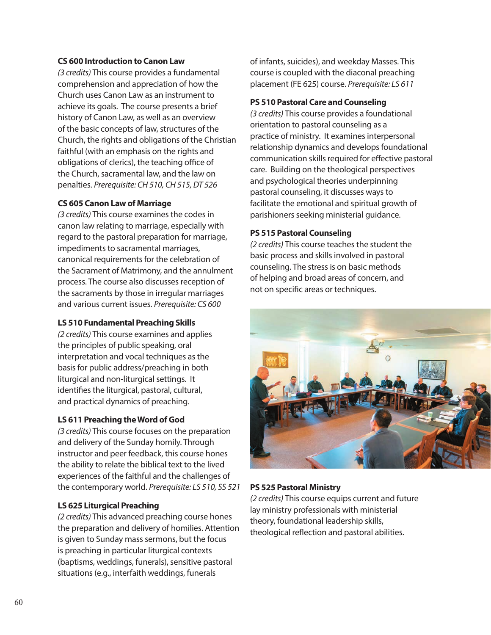# **CS 600 Introduction to Canon Law**

*(3 credits)* This course provides a fundamental comprehension and appreciation of how the Church uses Canon Law as an instrument to achieve its goals. The course presents a brief history of Canon Law, as well as an overview of the basic concepts of law, structures of the Church, the rights and obligations of the Christian faithful (with an emphasis on the rights and obligations of clerics), the teaching office of the Church, sacramental law, and the law on penalties. *Prerequisite: CH 510, CH 515, DT 526*

## **CS 605 Canon Law of Marriage**

*(3 credits)* This course examines the codes in canon law relating to marriage, especially with regard to the pastoral preparation for marriage, impediments to sacramental marriages, canonical requirements for the celebration of the Sacrament of Matrimony, and the annulment process. The course also discusses reception of the sacraments by those in irregular marriages and various current issues. *Prerequisite: CS 600*

# **LS 510 Fundamental Preaching Skills**

*(2 credits)* This course examines and applies the principles of public speaking, oral interpretation and vocal techniques as the basis for public address/preaching in both liturgical and non-liturgical settings. It identifies the liturgical, pastoral, cultural, and practical dynamics of preaching.

# **LS 611 Preaching the Word of God**

*(3 credits)* This course focuses on the preparation and delivery of the Sunday homily. Through instructor and peer feedback, this course hones the ability to relate the biblical text to the lived experiences of the faithful and the challenges of the contemporary world. *Prerequisite: LS 510, SS 521*

# **LS 625 Liturgical Preaching**

*(2 credits)* This advanced preaching course hones the preparation and delivery of homilies. Attention is given to Sunday mass sermons, but the focus is preaching in particular liturgical contexts (baptisms, weddings, funerals), sensitive pastoral situations (e.g., interfaith weddings, funerals

of infants, suicides), and weekday Masses. This course is coupled with the diaconal preaching placement (FE 625) course. *Prerequisite: LS 611*

## **PS 510 Pastoral Care and Counseling**

*(3 credits)* This course provides a foundational orientation to pastoral counseling as a practice of ministry. It examines interpersonal relationship dynamics and develops foundational communication skills required for effective pastoral care. Building on the theological perspectives and psychological theories underpinning pastoral counseling, it discusses ways to facilitate the emotional and spiritual growth of parishioners seeking ministerial guidance.

## **PS 515 Pastoral Counseling**

*(2 credits)* This course teaches the student the basic process and skills involved in pastoral counseling. The stress is on basic methods of helping and broad areas of concern, and not on specific areas or techniques.



## **PS 525 Pastoral Ministry**

*(2 credits)* This course equips current and future lay ministry professionals with ministerial theory, foundational leadership skills, theological reflection and pastoral abilities.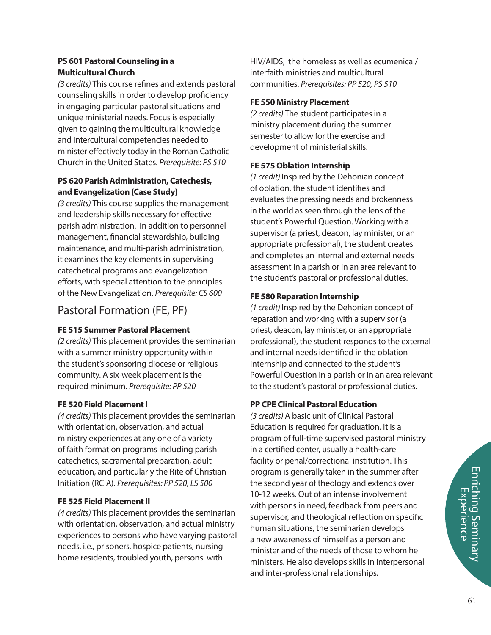# **PS 601 Pastoral Counseling in a Multicultural Church**

*(3 credits)* This course refines and extends pastoral counseling skills in order to develop proficiency in engaging particular pastoral situations and unique ministerial needs. Focus is especially given to gaining the multicultural knowledge and intercultural competencies needed to minister effectively today in the Roman Catholic Church in the United States. *Prerequisite: PS 510*

# **PS 620 Parish Administration, Catechesis, and Evangelization (Case Study)**

*(3 credits)* This course supplies the management and leadership skills necessary for effective parish administration. In addition to personnel management, financial stewardship, building maintenance, and multi-parish administration, it examines the key elements in supervising catechetical programs and evangelization efforts, with special attention to the principles of the New Evangelization. *Prerequisite: CS 600*

# Pastoral Formation (FE, PF)

# **FE 515 Summer Pastoral Placement**

*(2 credits)* This placement provides the seminarian with a summer ministry opportunity within the student's sponsoring diocese or religious community. A six-week placement is the required minimum. *Prerequisite: PP 520*

# **FE 520 Field Placement I**

*(4 credits)* This placement provides the seminarian with orientation, observation, and actual ministry experiences at any one of a variety of faith formation programs including parish catechetics, sacramental preparation, adult education, and particularly the Rite of Christian Initiation (RCIA). *Prerequisites: PP 520, LS 500*

# **FE 525 Field Placement II**

*(4 credits)* This placement provides the seminarian with orientation, observation, and actual ministry experiences to persons who have varying pastoral needs, i.e., prisoners, hospice patients, nursing home residents, troubled youth, persons with

HIV/AIDS, the homeless as well as ecumenical/ interfaith ministries and multicultural communities. *Prerequisites: PP 520, PS 510*

# **FE 550 Ministry Placement**

*(2 credits)* The student participates in a ministry placement during the summer semester to allow for the exercise and development of ministerial skills.

# **FE 575 Oblation Internship**

*(1 credit)* Inspired by the Dehonian concept of oblation, the student identifies and evaluates the pressing needs and brokenness in the world as seen through the lens of the student's Powerful Question. Working with a supervisor (a priest, deacon, lay minister, or an appropriate professional), the student creates and completes an internal and external needs assessment in a parish or in an area relevant to the student's pastoral or professional duties.

# **FE 580 Reparation Internship**

*(1 credit)* Inspired by the Dehonian concept of reparation and working with a supervisor (a priest, deacon, lay minister, or an appropriate professional), the student responds to the external and internal needs identified in the oblation internship and connected to the student's Powerful Question in a parish or in an area relevant to the student's pastoral or professional duties.

# **PP CPE Clinical Pastoral Education**

*(3 credits)* A basic unit of Clinical Pastoral Education is required for graduation. It is a program of full-time supervised pastoral ministry in a certified center, usually a health-care facility or penal/correctional institution. This program is generally taken in the summer after the second year of theology and extends over 10-12 weeks. Out of an intense involvement with persons in need, feedback from peers and supervisor, and theological reflection on specific human situations, the seminarian develops a new awareness of himself as a person and minister and of the needs of those to whom he ministers. He also develops skills in interpersonal and inter-professional relationships.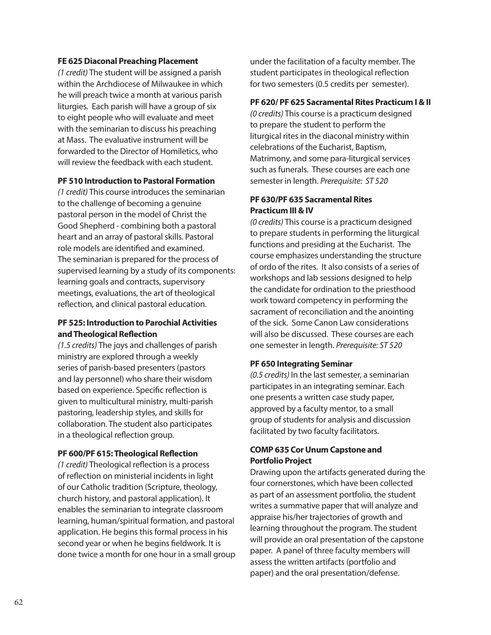# **FE 625 Diaconal Preaching Placement**

*(1 credit)* The student will be assigned a parish within the Archdiocese of Milwaukee in which he will preach twice a month at various parish liturgies. Each parish will have a group of six to eight people who will evaluate and meet with the seminarian to discuss his preaching at Mass. The evaluative instrument will be forwarded to the Director of Homiletics, who will review the feedback with each student.

# **PF 510 Introduction to Pastoral Formation**

*(1 credit)* This course introduces the seminarian to the challenge of becoming a genuine pastoral person in the model of Christ the Good Shepherd - combining both a pastoral heart and an array of pastoral skills. Pastoral role models are identified and examined. The seminarian is prepared for the process of supervised learning by a study of its components: learning goals and contracts, supervisory meetings, evaluations, the art of theological reflection, and clinical pastoral education.

# **PF 525: Introduction to Parochial Activities and Theological Reflection**

*(1.5 credits)* The joys and challenges of parish ministry are explored through a weekly series of parish-based presenters (pastors and lay personnel) who share their wisdom based on experience. Specific reflection is given to multicultural ministry, multi-parish pastoring, leadership styles, and skills for collaboration. The student also participates in a theological reflection group.

## **PF 600/PF 615: Theological Reflection**

*(1 credit)* Theological reflection is a process of reflection on ministerial incidents in light of our Catholic tradition (Scripture, theology, church history, and pastoral application). It enables the seminarian to integrate classroom learning, human/spiritual formation, and pastoral application. He begins this formal process in his second year or when he begins fieldwork. It is done twice a month for one hour in a small group

under the facilitation of a faculty member. The student participates in theological reflection for two semesters (0.5 credits per semester).

# **PF 620/ PF 625 Sacramental Rites Practicum I & II**

*(0 credits)* This course is a practicum designed to prepare the student to perform the liturgical rites in the diaconal ministry within celebrations of the Eucharist, Baptism, Matrimony, and some para-liturgical services such as funerals. These courses are each one semester in length. *Prerequisite: ST 520* 

# **PF 630/PF 635 Sacramental Rites Practicum III & IV**

*(0 credits)* This course is a practicum designed to prepare students in performing the liturgical functions and presiding at the Eucharist. The course emphasizes understanding the structure of ordo of the rites. It also consists of a series of workshops and lab sessions designed to help the candidate for ordination to the priesthood work toward competency in performing the sacrament of reconciliation and the anointing of the sick. Some Canon Law considerations will also be discussed. These courses are each one semester in length. *Prerequisite: ST 520*

# **PF 650 Integrating Seminar**

*(0.5 credits)* In the last semester, a seminarian participates in an integrating seminar. Each one presents a written case study paper, approved by a faculty mentor, to a small group of students for analysis and discussion facilitated by two faculty facilitators.

# **COMP 635 Cor Unum Capstone and Portfolio Project**

Drawing upon the artifacts generated during the four cornerstones, which have been collected as part of an assessment portfolio, the student writes a summative paper that will analyze and appraise his/her trajectories of growth and learning throughout the program. The student will provide an oral presentation of the capstone paper. A panel of three faculty members will assess the written artifacts (portfolio and paper) and the oral presentation/defense.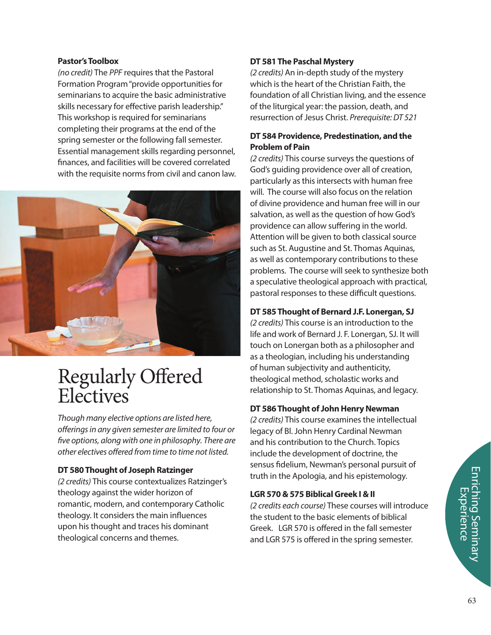# **Pastor's Toolbox**

*(no credit)* The *PPF* requires that the Pastoral Formation Program "provide opportunities for seminarians to acquire the basic administrative skills necessary for effective parish leadership." This workshop is required for seminarians completing their programs at the end of the spring semester or the following fall semester. Essential management skills regarding personnel, nances, and facilities will be covered correlated with the requisite norms from civil and canon law.



# Regularly Offered **Electives**

*Though many elective options are listed here,*  offerings in any given semester are limited to four or five options, along with one in philosophy. There are *other electives offered from time to time not listed.* 

# **DT 580 Thought of Joseph Ratzinger**

*(2 credits)* This course contextualizes Ratzinger's theology against the wider horizon of romantic, modern, and contemporary Catholic theology. It considers the main influences upon his thought and traces his dominant theological concerns and themes.

# **DT 581 The Paschal Mystery**

*(2 credits)* An in-depth study of the mystery which is the heart of the Christian Faith, the foundation of all Christian living, and the essence of the liturgical year: the passion, death, and resurrection of Jesus Christ. *Prerequisite: DT 521* 

# **DT 584 Providence, Predestination, and the Problem of Pain**

*(2 credits)* This course surveys the questions of God's guiding providence over all of creation, particularly as this intersects with human free will. The course will also focus on the relation of divine providence and human free will in our salvation, as well as the question of how God's providence can allow suffering in the world. Attention will be given to both classical source such as St. Augustine and St. Thomas Aquinas, as well as contemporary contributions to these problems. The course will seek to synthesize both a speculative theological approach with practical, pastoral responses to these difficult questions.

# **DT 585 Thought of Bernard J.F. Lonergan, SJ**

*(2 credits)* This course is an introduction to the life and work of Bernard J. F. Lonergan, SJ. It will touch on Lonergan both as a philosopher and as a theologian, including his understanding of human subjectivity and authenticity, theological method, scholastic works and relationship to St. Thomas Aquinas, and legacy.

# **DT 586 Thought of John Henry Newman**

*(2 credits)* This course examines the intellectual legacy of Bl. John Henry Cardinal Newman and his contribution to the Church. Topics include the development of doctrine, the sensus fidelium, Newman's personal pursuit of truth in the Apologia, and his epistemology.

# **LGR 570 & 575 Biblical Greek I & II**

*(2 credits each course)* These courses will introduce the student to the basic elements of biblical Greek. LGR 570 is offered in the fall semester and LGR 575 is offered in the spring semester.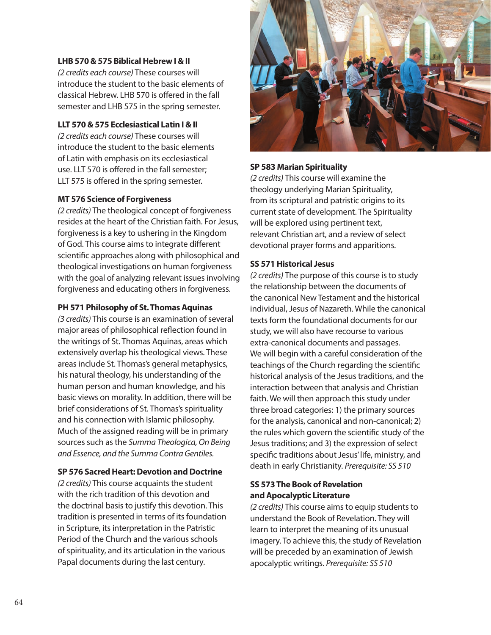# **LHB 570 & 575 Biblical Hebrew I & II**

*(2 credits each course)* These courses will introduce the student to the basic elements of classical Hebrew. LHB 570 is offered in the fall semester and LHB 575 in the spring semester.

# **LLT 570 & 575 Ecclesiastical Latin I & II**

*(2 credits each course)* These courses will introduce the student to the basic elements of Latin with emphasis on its ecclesiastical use. LLT 570 is offered in the fall semester; LLT 575 is offered in the spring semester.

## **MT 576 Science of Forgiveness**

*(2 credits)* The theological concept of forgiveness resides at the heart of the Christian faith. For Jesus, forgiveness is a key to ushering in the Kingdom of God. This course aims to integrate different scientific approaches along with philosophical and theological investigations on human forgiveness with the goal of analyzing relevant issues involving forgiveness and educating others in forgiveness.

# **PH 571 Philosophy of St. Thomas Aquinas**

*(3 credits)* This course is an examination of several major areas of philosophical reflection found in the writings of St. Thomas Aquinas, areas which extensively overlap his theological views. These areas include St. Thomas's general metaphysics, his natural theology, his understanding of the human person and human knowledge, and his basic views on morality. In addition, there will be brief considerations of St. Thomas's spirituality and his connection with Islamic philosophy. Much of the assigned reading will be in primary sources such as the *Summa Theologica, On Being and Essence, and the Summa Contra Gentiles.*

# **SP 576 Sacred Heart: Devotion and Doctrine**

*(2 credits)* This course acquaints the student with the rich tradition of this devotion and the doctrinal basis to justify this devotion. This tradition is presented in terms of its foundation in Scripture, its interpretation in the Patristic Period of the Church and the various schools of spirituality, and its articulation in the various Papal documents during the last century.



## **SP 583 Marian Spirituality**

*(2 credits)* This course will examine the theology underlying Marian Spirituality, from its scriptural and patristic origins to its current state of development. The Spirituality will be explored using pertinent text, relevant Christian art, and a review of select devotional prayer forms and apparitions.

# **SS 571 Historical Jesus**

*(2 credits)* The purpose of this course is to study the relationship between the documents of the canonical New Testament and the historical individual, Jesus of Nazareth. While the canonical texts form the foundational documents for our study, we will also have recourse to various extra-canonical documents and passages. We will begin with a careful consideration of the teachings of the Church regarding the scientific historical analysis of the Jesus traditions, and the interaction between that analysis and Christian faith. We will then approach this study under three broad categories: 1) the primary sources for the analysis, canonical and non-canonical; 2) the rules which govern the scientific study of the Jesus traditions; and 3) the expression of select specific traditions about Jesus' life, ministry, and death in early Christianity. *Prerequisite: SS 510*

# **SS 573 The Book of Revelation and Apocalyptic Literature**

*(2 credits)* This course aims to equip students to understand the Book of Revelation. They will learn to interpret the meaning of its unusual imagery. To achieve this, the study of Revelation will be preceded by an examination of Jewish apocalyptic writings. *Prerequisite: SS 510*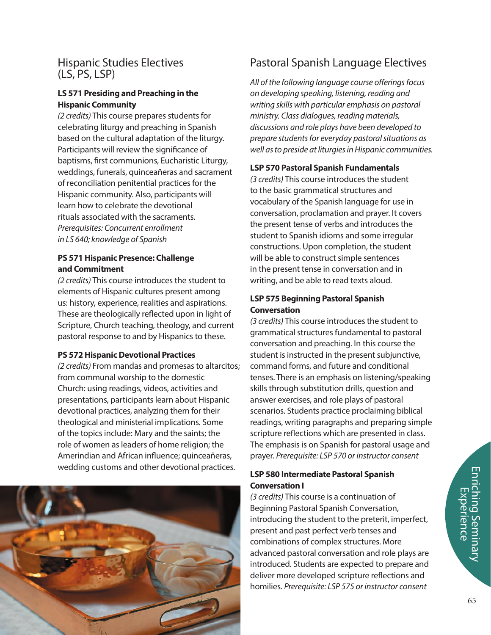# Hispanic Studies Electives (LS, PS, LSP)

# **LS 571 Presiding and Preaching in the Hispanic Community**

*(2 credits)* This course prepares students for celebrating liturgy and preaching in Spanish based on the cultural adaptation of the liturgy. Participants will review the significance of baptisms, first communions, Eucharistic Liturgy, weddings, funerals, quinceañeras and sacrament of reconciliation penitential practices for the Hispanic community. Also, participants will learn how to celebrate the devotional rituals associated with the sacraments. *Prerequisites: Concurrent enrollment in LS 640; knowledge of Spanish*

# **PS 571 Hispanic Presence: Challenge and Commitment**

*(2 credits)* This course introduces the student to elements of Hispanic cultures present among us: history, experience, realities and aspirations. These are theologically reflected upon in light of Scripture, Church teaching, theology, and current pastoral response to and by Hispanics to these.

# **PS 572 Hispanic Devotional Practices**

*(2 credits)* From mandas and promesas to altarcitos; from communal worship to the domestic Church: using readings, videos, activities and presentations, participants learn about Hispanic devotional practices, analyzing them for their theological and ministerial implications. Some of the topics include: Mary and the saints; the role of women as leaders of home religion; the Amerindian and African influence; quinceañeras, wedding customs and other devotional practices.



# Pastoral Spanish Language Electives

All of the following language course offerings focus *on developing speaking, listening, reading and writing skills with particular emphasis on pastoral ministry. Class dialogues, reading materials, discussions and role plays have been developed to prepare students for everyday pastoral situations as well as to preside at liturgies in Hispanic communities.*

# **LSP 570 Pastoral Spanish Fundamentals**

*(3 credits)* This course introduces the student to the basic grammatical structures and vocabulary of the Spanish language for use in conversation, proclamation and prayer. It covers the present tense of verbs and introduces the student to Spanish idioms and some irregular constructions. Upon completion, the student will be able to construct simple sentences in the present tense in conversation and in writing, and be able to read texts aloud.

# **LSP 575 Beginning Pastoral Spanish Conversation**

*(3 credits)* This course introduces the student to grammatical structures fundamental to pastoral conversation and preaching. In this course the student is instructed in the present subjunctive, command forms, and future and conditional tenses. There is an emphasis on listening/speaking skills through substitution drills, question and answer exercises, and role plays of pastoral scenarios. Students practice proclaiming biblical readings, writing paragraphs and preparing simple scripture reflections which are presented in class. The emphasis is on Spanish for pastoral usage and prayer. *Prerequisite: LSP 570 or instructor consent*

# **LSP 580 Intermediate Pastoral Spanish Conversation I**

*(3 credits)* This course is a continuation of Beginning Pastoral Spanish Conversation, introducing the student to the preterit, imperfect, present and past perfect verb tenses and combinations of complex structures. More advanced pastoral conversation and role plays are introduced. Students are expected to prepare and deliver more developed scripture reflections and homilies. *Prerequisite: LSP 575 or instructor consent*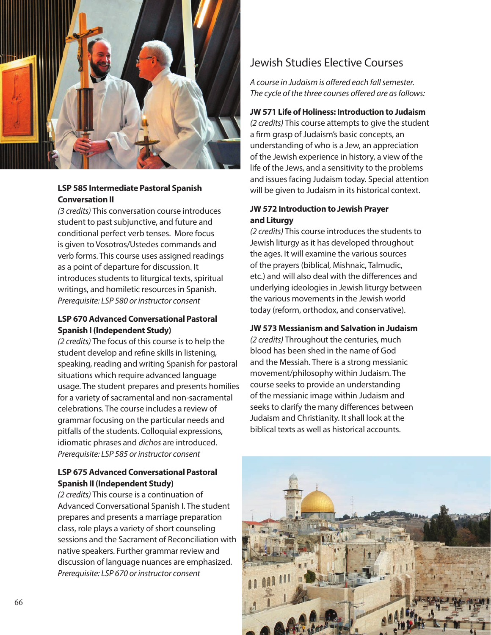

# **LSP 585 Intermediate Pastoral Spanish Conversation II**

*(3 credits)* This conversation course introduces student to past subjunctive, and future and conditional perfect verb tenses. More focus is given to Vosotros/Ustedes commands and verb forms. This course uses assigned readings as a point of departure for discussion. It introduces students to liturgical texts, spiritual writings, and homiletic resources in Spanish. *Prerequisite: LSP 580 or instructor consent*

# **LSP 670 Advanced Conversational Pastoral Spanish I (Independent Study)**

*(2 credits)* The focus of this course is to help the student develop and refine skills in listening, speaking, reading and writing Spanish for pastoral situations which require advanced language usage. The student prepares and presents homilies for a variety of sacramental and non-sacramental celebrations. The course includes a review of grammar focusing on the particular needs and pitfalls of the students. Colloquial expressions, idiomatic phrases and *dichos* are introduced. *Prerequisite: LSP 585 or instructor consent*

# **LSP 675 Advanced Conversational Pastoral Spanish II (Independent Study)**

*(2 credits)* This course is a continuation of Advanced Conversational Spanish I. The student prepares and presents a marriage preparation class, role plays a variety of short counseling sessions and the Sacrament of Reconciliation with native speakers. Further grammar review and discussion of language nuances are emphasized. *Prerequisite: LSP 670 or instructor consent*

# Jewish Studies Elective Courses

A course in Judaism is offered each fall semester. The cycle of the three courses offered are as follows:

# **JW 571 Life of Holiness: Introduction to Judaism**

*(2 credits)* This course attempts to give the student a firm grasp of Judaism's basic concepts, an understanding of who is a Jew, an appreciation of the Jewish experience in history, a view of the life of the Jews, and a sensitivity to the problems and issues facing Judaism today. Special attention will be given to Judaism in its historical context.

# **JW 572 Introduction to Jewish Prayer and Liturgy**

*(2 credits)* This course introduces the students to Jewish liturgy as it has developed throughout the ages. It will examine the various sources of the prayers (biblical, Mishnaic, Talmudic, etc.) and will also deal with the differences and underlying ideologies in Jewish liturgy between the various movements in the Jewish world today (reform, orthodox, and conservative).

# **JW 573 Messianism and Salvation in Judaism**

*(2 credits)* Throughout the centuries, much blood has been shed in the name of God and the Messiah. There is a strong messianic movement/philosophy within Judaism. The course seeks to provide an understanding of the messianic image within Judaism and seeks to clarify the many differences between Judaism and Christianity. It shall look at the biblical texts as well as historical accounts.

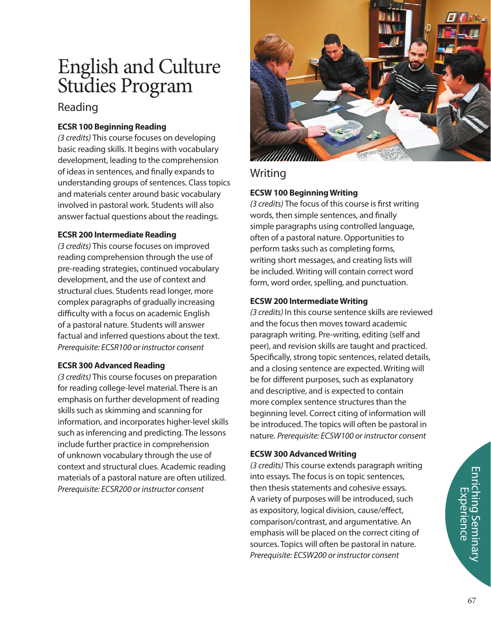# English and Culture Studies Program

# Reading

# **ECSR 100 Beginning Reading**

*(3 credits)* This course focuses on developing basic reading skills. It begins with vocabulary development, leading to the comprehension of ideas in sentences, and finally expands to understanding groups of sentences. Class topics and materials center around basic vocabulary involved in pastoral work. Students will also answer factual questions about the readings.

# **ECSR 200 Intermediate Reading**

*(3 credits)* This course focuses on improved reading comprehension through the use of pre-reading strategies, continued vocabulary development, and the use of context and structural clues. Students read longer, more complex paragraphs of gradually increasing difficulty with a focus on academic English of a pastoral nature. Students will answer factual and inferred questions about the text. *Prerequisite: ECSR100 or instructor consent*

# **ECSR 300 Advanced Reading**

*(3 credits)* This course focuses on preparation for reading college-level material. There is an emphasis on further development of reading skills such as skimming and scanning for information, and incorporates higher-level skills such as inferencing and predicting. The lessons include further practice in comprehension of unknown vocabulary through the use of context and structural clues. Academic reading materials of a pastoral nature are often utilized. *Prerequisite: ECSR200 or instructor consent*



# Writing

# **ECSW 100 Beginning Writing**

(3 credits) The focus of this course is first writing words, then simple sentences, and finally simple paragraphs using controlled language, often of a pastoral nature. Opportunities to perform tasks such as completing forms, writing short messages, and creating lists will be included. Writing will contain correct word form, word order, spelling, and punctuation.

# **ECSW 200 Intermediate Writing**

*(3 credits)* In this course sentence skills are reviewed and the focus then moves toward academic paragraph writing. Pre-writing, editing (self and peer), and revision skills are taught and practiced. Specifically, strong topic sentences, related details, and a closing sentence are expected. Writing will be for different purposes, such as explanatory and descriptive, and is expected to contain more complex sentence structures than the beginning level. Correct citing of information will be introduced. The topics will often be pastoral in nature. *Prerequisite: ECSW100 or instructor consent*

# **ECSW 300 Advanced Writing**

*(3 credits)* This course extends paragraph writing into essays. The focus is on topic sentences, then thesis statements and cohesive essays. A variety of purposes will be introduced, such as expository, logical division, cause/effect, comparison/contrast, and argumentative. An emphasis will be placed on the correct citing of sources. Topics will often be pastoral in nature. *Prerequisite: ECSW200 or instructor consent*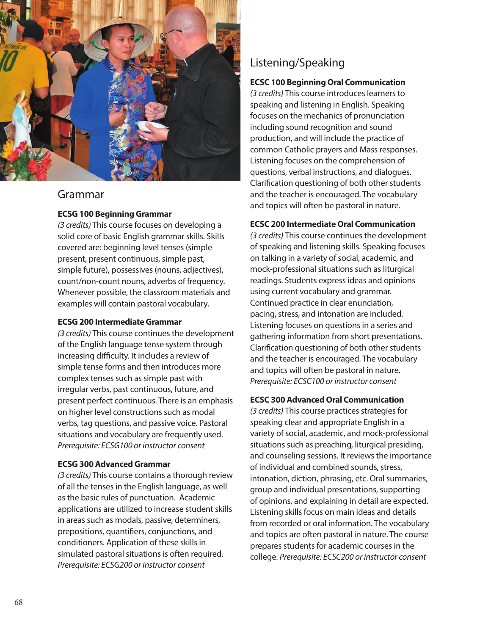

# Grammar

# **ECSG 100 Beginning Grammar**

*(3 credits)* This course focuses on developing a solid core of basic English grammar skills. Skills covered are: beginning level tenses (simple present, present continuous, simple past, simple future), possessives (nouns, adjectives), count/non-count nouns, adverbs of frequency. Whenever possible, the classroom materials and examples will contain pastoral vocabulary.

# **ECSG 200 Intermediate Grammar**

*(3 credits)* This course continues the development of the English language tense system through increasing difficulty. It includes a review of simple tense forms and then introduces more complex tenses such as simple past with irregular verbs, past continuous, future, and present perfect continuous. There is an emphasis on higher level constructions such as modal verbs, tag questions, and passive voice. Pastoral situations and vocabulary are frequently used. *Prerequisite: ECSG100 or instructor consent*

## **ECSG 300 Advanced Grammar**

*(3 credits)* This course contains a thorough review of all the tenses in the English language, as well as the basic rules of punctuation. Academic applications are utilized to increase student skills in areas such as modals, passive, determiners, prepositions, quantifiers, conjunctions, and conditioners. Application of these skills in simulated pastoral situations is often required. *Prerequisite: ECSG200 or instructor consent*

# Listening/Speaking

# **ECSC 100 Beginning Oral Communication**

*(3 credits)* This course introduces learners to speaking and listening in English. Speaking focuses on the mechanics of pronunciation including sound recognition and sound production, and will include the practice of common Catholic prayers and Mass responses. Listening focuses on the comprehension of questions, verbal instructions, and dialogues. Clarification questioning of both other students and the teacher is encouraged. The vocabulary and topics will often be pastoral in nature.

# **ECSC 200 Intermediate Oral Communication**

*(3 credits)* This course continues the development of speaking and listening skills. Speaking focuses on talking in a variety of social, academic, and mock-professional situations such as liturgical readings. Students express ideas and opinions using current vocabulary and grammar. Continued practice in clear enunciation, pacing, stress, and intonation are included. Listening focuses on questions in a series and gathering information from short presentations. Clarification questioning of both other students and the teacher is encouraged. The vocabulary and topics will often be pastoral in nature. *Prerequisite: ECSC100 or instructor consent*

# **ECSC 300 Advanced Oral Communication**

*(3 credits)* This course practices strategies for speaking clear and appropriate English in a variety of social, academic, and mock-professional situations such as preaching, liturgical presiding, and counseling sessions. It reviews the importance of individual and combined sounds, stress, intonation, diction, phrasing, etc. Oral summaries, group and individual presentations, supporting of opinions, and explaining in detail are expected. Listening skills focus on main ideas and details from recorded or oral information. The vocabulary and topics are often pastoral in nature. The course prepares students for academic courses in the college. *Prerequisite: ECSC200 or instructor consent*